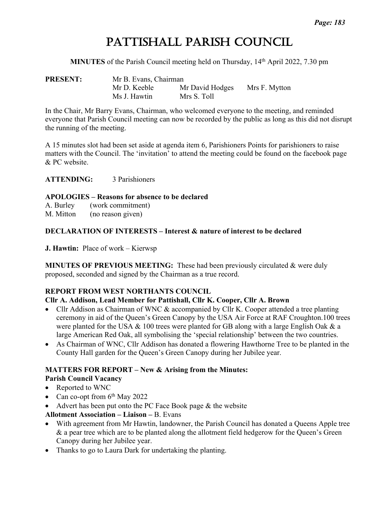# PATTISHALL PARISH COUNCIL

**MINUTES** of the Parish Council meeting held on Thursday, 14th April 2022, 7.30 pm

| <b>PRESENT:</b> | Mr B. Evans, Chairman |                 |               |  |  |
|-----------------|-----------------------|-----------------|---------------|--|--|
|                 | Mr D. Keeble          | Mr David Hodges | Mrs F. Mytton |  |  |
|                 | Ms J. Hawtin          | Mrs S. Toll     |               |  |  |

In the Chair, Mr Barry Evans, Chairman, who welcomed everyone to the meeting, and reminded everyone that Parish Council meeting can now be recorded by the public as long as this did not disrupt the running of the meeting.

A 15 minutes slot had been set aside at agenda item 6, Parishioners Points for parishioners to raise matters with the Council. The 'invitation' to attend the meeting could be found on the facebook page & PC website.

**ATTENDING:** 3 Parishioners

#### **APOLOGIES – Reasons for absence to be declared**

A. Burley (work commitment)

M. Mitton (no reason given)

#### **DECLARATION OF INTERESTS – Interest & nature of interest to be declared**

**J. Hawtin:** Place of work – Kierwsp

**MINUTES OF PREVIOUS MEETING:** These had been previously circulated & were duly proposed, seconded and signed by the Chairman as a true record.

#### **REPORT FROM WEST NORTHANTS COUNCIL**

#### **Cllr A. Addison, Lead Member for Pattishall, Cllr K. Cooper, Cllr A. Brown**

- Cllr Addison as Chairman of WNC & accompanied by Cllr K. Cooper attended a tree planting ceremony in aid of the Queen's Green Canopy by the USA Air Force at RAF Croughton.100 trees were planted for the USA & 100 trees were planted for GB along with a large English Oak & a large American Red Oak, all symbolising the 'special relationship' between the two countries.
- As Chairman of WNC, Cllr Addison has donated a flowering Hawthorne Tree to be planted in the County Hall garden for the Queen's Green Canopy during her Jubilee year.

# **MATTERS FOR REPORT – New & Arising from the Minutes:**

#### **Parish Council Vacancy**

- Reported to WNC
- Can co-opt from  $6<sup>th</sup>$  May 2022
- Advert has been put onto the PC Face Book page & the website
- **Allotment Association – Liaison –** B. Evans
- With agreement from Mr Hawtin, landowner, the Parish Council has donated a Queens Apple tree & a pear tree which are to be planted along the allotment field hedgerow for the Queen's Green Canopy during her Jubilee year.
- Thanks to go to Laura Dark for undertaking the planting.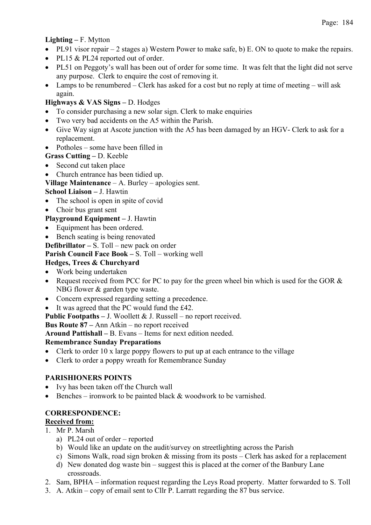## **Lighting –** F. Mytton

- PL91 visor repair 2 stages a) Western Power to make safe, b) E. ON to quote to make the repairs.
- PL15 & PL24 reported out of order.
- PL51 on Peggoty's wall has been out of order for some time. It was felt that the light did not serve any purpose. Clerk to enquire the cost of removing it.
- Lamps to be renumbered Clerk has asked for a cost but no reply at time of meeting will ask again.

## **Highways & VAS Signs –** D. Hodges

- To consider purchasing a new solar sign. Clerk to make enquiries
- Two very bad accidents on the A5 within the Parish.
- Give Way sign at Ascote junction with the A5 has been damaged by an HGV- Clerk to ask for a replacement.
- Potholes some have been filled in

## **Grass Cutting –** D. Keeble

- Second cut taken place
- Church entrance has been tidied up.
- **Village Maintenance** A. Burley apologies sent.

## **School Liaison –** J. Hawtin

- The school is open in spite of covid
- Choir bus grant sent

#### **Playground Equipment –** J. Hawtin

- Equipment has been ordered.
- Bench seating is being renovated

**Defibrillator –** S. Toll – new pack on order

**Parish Council Face Book –** S. Toll – working well

## **Hedges, Trees & Churchyard**

- Work being undertaken
- Request received from PCC for PC to pay for the green wheel bin which is used for the GOR & NBG flower & garden type waste.
- Concern expressed regarding setting a precedence.
- It was agreed that the PC would fund the £42.

**Public Footpaths –** J. Woollett & J. Russell – no report received.

#### **Bus Route 87 –** Ann Atkin – no report received

**Around Pattishall –** B. Evans – Items for next edition needed.

#### **Remembrance Sunday Preparations**

- Clerk to order 10 x large poppy flowers to put up at each entrance to the village
- Clerk to order a poppy wreath for Remembrance Sunday

## **PARISHIONERS POINTS**

- Ivy has been taken off the Church wall
- Benches ironwork to be painted black & woodwork to be varnished.

## **CORRESPONDENCE:**

#### **Received from:**

- 1. Mr P. Marsh
	- a) PL24 out of order reported
	- b) Would like an update on the audit/survey on streetlighting across the Parish
	- c) Simons Walk, road sign broken  $\&$  missing from its posts Clerk has asked for a replacement
	- d) New donated dog waste bin suggest this is placed at the corner of the Banbury Lane crossroads.
- 2. Sam, BPHA information request regarding the Leys Road property. Matter forwarded to S. Toll
- 3. A. Atkin copy of email sent to Cllr P. Larratt regarding the 87 bus service.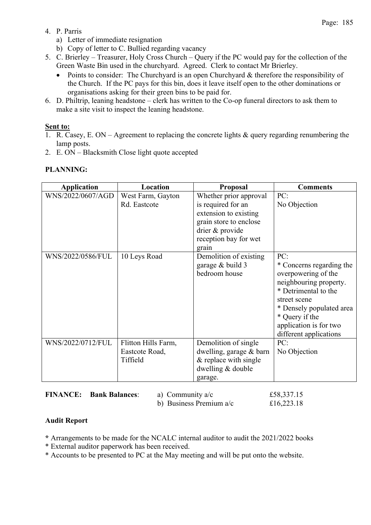- 4. P. Parris
	- a) Letter of immediate resignation
	- b) Copy of letter to C. Bullied regarding vacancy
- 5. C. Brierley Treasurer, Holy Cross Church Query if the PC would pay for the collection of the Green Waste Bin used in the churchyard. Agreed. Clerk to contact Mr Brierley.
	- Points to consider: The Churchyard is an open Churchyard & therefore the responsibility of the Church. If the PC pays for this bin, does it leave itself open to the other dominations or organisations asking for their green bins to be paid for.
- 6. D. Philtrip, leaning headstone clerk has written to the Co-op funeral directors to ask them to make a site visit to inspect the leaning headstone.

#### **Sent to:**

- 1. R. Casey, E. ON Agreement to replacing the concrete lights & query regarding renumbering the lamp posts.
- 2. E. ON Blacksmith Close light quote accepted

## **PLANNING:**

| <b>Application</b> | Location                                          | Proposal                                                                                                                                             | <b>Comments</b>                                                                                                                                                                                                            |
|--------------------|---------------------------------------------------|------------------------------------------------------------------------------------------------------------------------------------------------------|----------------------------------------------------------------------------------------------------------------------------------------------------------------------------------------------------------------------------|
| WNS/2022/0607/AGD  | West Farm, Gayton<br>Rd. Eastcote                 | Whether prior approval<br>is required for an<br>extension to existing<br>grain store to enclose<br>drier & provide<br>reception bay for wet<br>grain | PC:<br>No Objection                                                                                                                                                                                                        |
| WNS/2022/0586/FUL  | 10 Leys Road                                      | Demolition of existing<br>garage & build 3<br>bedroom house                                                                                          | PC:<br>* Concerns regarding the<br>overpowering of the<br>neighbouring property.<br>* Detrimental to the<br>street scene<br>* Densely populated area<br>* Query if the<br>application is for two<br>different applications |
| WNS/2022/0712/FUL  | Flitton Hills Farm,<br>Eastcote Road,<br>Tiffield | Demolition of single<br>dwelling, garage & barn<br>$&$ replace with single<br>dwelling & double<br>garage.                                           | PC:<br>No Objection                                                                                                                                                                                                        |

**FINANCE: Bank Balances:** a) Community a/c  $£58,337.15$ 

b) Business Premium a/c £16,223.18

## **Audit Report**

- **\*** Arrangements to be made for the NCALC internal auditor to audit the 2021/2022 books
- \* External auditor paperwork has been received.
- \* Accounts to be presented to PC at the May meeting and will be put onto the website.